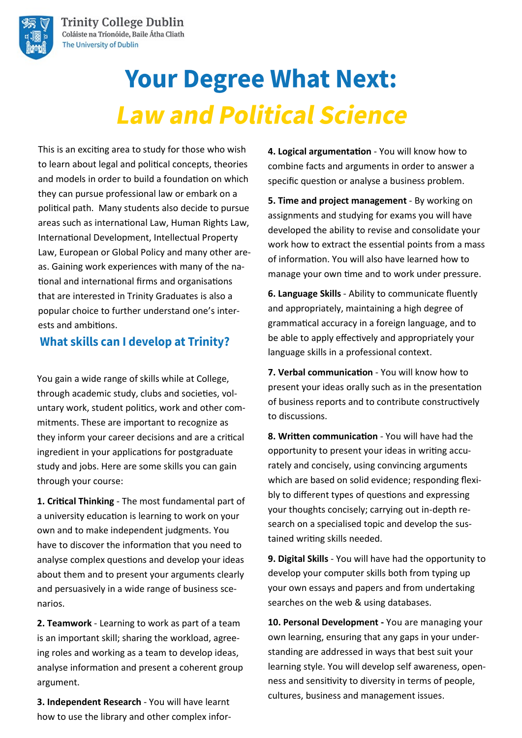

# **Your Degree What Next: Law and Political Science**

This is an exciting area to study for those who wish to learn about legal and political concepts, theories and models in order to build a foundation on which they can pursue professional law or embark on a political path. Many students also decide to pursue areas such as international Law, Human Rights Law, International Development, Intellectual Property Law, European or Global Policy and many other areas. Gaining work experiences with many of the national and international firms and organisations that are interested in Trinity Graduates is also a popular choice to further understand one's interests and ambitions.

#### **What skills can I develop at Trinity?**

You gain a wide range of skills while at College, through academic study, clubs and societies, voluntary work, student politics, work and other commitments. These are important to recognize as they inform your career decisions and are a critical ingredient in your applications for postgraduate study and jobs. Here are some skills you can gain through your course:

**1. Critical Thinking** - The most fundamental part of a university education is learning to work on your own and to make independent judgments. You have to discover the information that you need to analyse complex questions and develop your ideas about them and to present your arguments clearly and persuasively in a wide range of business scenarios.

**2. Teamwork** - Learning to work as part of a team is an important skill; sharing the workload, agreeing roles and working as a team to develop ideas, analyse information and present a coherent group argument.

**3. Independent Research** - You will have learnt how to use the library and other complex infor**4. Logical argumentation** - You will know how to combine facts and arguments in order to answer a specific question or analyse a business problem.

**5. Time and project management** - By working on assignments and studying for exams you will have developed the ability to revise and consolidate your work how to extract the essential points from a mass of information. You will also have learned how to manage your own time and to work under pressure.

**6. Language Skills** - Ability to communicate fluently and appropriately, maintaining a high degree of grammatical accuracy in a foreign language, and to be able to apply effectively and appropriately your language skills in a professional context.

**7. Verbal communication** - You will know how to present your ideas orally such as in the presentation of business reports and to contribute constructively to discussions.

**8. Written communication** - You will have had the opportunity to present your ideas in writing accurately and concisely, using convincing arguments which are based on solid evidence; responding flexibly to different types of questions and expressing your thoughts concisely; carrying out in-depth research on a specialised topic and develop the sustained writing skills needed.

**9. Digital Skills** - You will have had the opportunity to develop your computer skills both from typing up your own essays and papers and from undertaking searches on the web & using databases.

**10. Personal Development -** You are managing your own learning, ensuring that any gaps in your understanding are addressed in ways that best suit your learning style. You will develop self awareness, openness and sensitivity to diversity in terms of people, cultures, business and management issues.